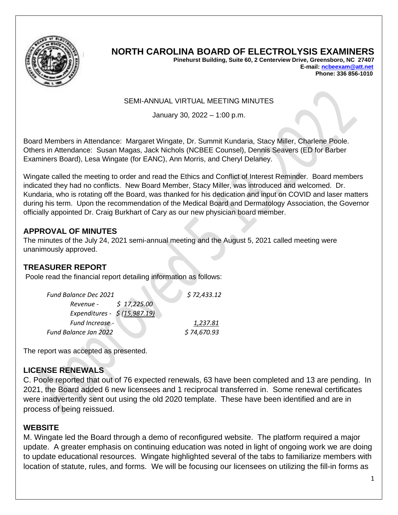

# **NORTH CAROLINA BOARD OF ELECTROLYSIS EXAMINERS**

**Pinehurst Building, Suite 60, 2 Centerview Drive, Greensboro, NC 27407 E-mail[: ncbeexam@att.net](mailto:ncbeexam@att.net) Phone: 336 856-1010** 

#### SEMI-ANNUAL VIRTUAL MEETING MINUTES

January 30, 2022 – 1:00 p.m.

Board Members in Attendance: Margaret Wingate, Dr. Summit Kundaria, Stacy Miller, Charlene Poole. Others in Attendance: Susan Magas, Jack Nichols (NCBEE Counsel), Dennis Seavers (ED for Barber Examiners Board), Lesa Wingate (for EANC), Ann Morris, and Cheryl Delaney.

Wingate called the meeting to order and read the Ethics and Conflict of Interest Reminder. Board members indicated they had no conflicts. New Board Member, Stacy Miller, was introduced and welcomed. Dr. Kundaria, who is rotating off the Board, was thanked for his dedication and input on COVID and laser matters during his term. Upon the recommendation of the Medical Board and Dermatology Association, the Governor officially appointed Dr. Craig Burkhart of Cary as our new physician board member.

### **APPROVAL OF MINUTES**

The minutes of the July 24, 2021 semi-annual meeting and the August 5, 2021 called meeting were unanimously approved.

#### **TREASURER REPORT**

Poole read the financial report detailing information as follows:

| \$72,433.12 |  |
|-------------|--|
|             |  |
|             |  |
| 1,237.81    |  |
| \$74,670.93 |  |
|             |  |

The report was accepted as presented.

## **LICENSE RENEWALS**

C. Poole reported that out of 76 expected renewals, 63 have been completed and 13 are pending. In 2021, the Board added 6 new licensees and 1 reciprocal transferred in. Some renewal certificates were inadvertently sent out using the old 2020 template. These have been identified and are in process of being reissued.

#### **WEBSITE**

M. Wingate led the Board through a demo of reconfigured website. The platform required a major update. A greater emphasis on continuing education was noted in light of ongoing work we are doing to update educational resources. Wingate highlighted several of the tabs to familiarize members with location of statute, rules, and forms. We will be focusing our licensees on utilizing the fill-in forms as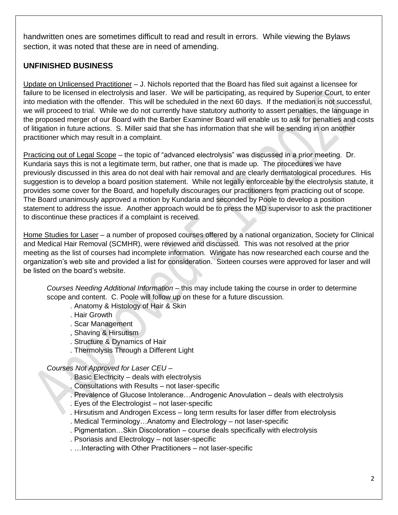handwritten ones are sometimes difficult to read and result in errors. While viewing the Bylaws section, it was noted that these are in need of amending.

## **UNFINISHED BUSINESS**

Update on Unlicensed Practitioner – J. Nichols reported that the Board has filed suit against a licensee for failure to be licensed in electrolysis and laser. We will be participating, as required by Superior Court, to enter into mediation with the offender. This will be scheduled in the next 60 days. If the mediation is not successful, we will proceed to trial. While we do not currently have statutory authority to assert penalties, the language in the proposed merger of our Board with the Barber Examiner Board will enable us to ask for penalties and costs of litigation in future actions. S. Miller said that she has information that she will be sending in on another practitioner which may result in a complaint.

Practicing out of Legal Scope – the topic of "advanced electrolysis" was discussed in a prior meeting. Dr. Kundaria says this is not a legitimate term, but rather, one that is made up. The procedures we have previously discussed in this area do not deal with hair removal and are clearly dermatological procedures. His suggestion is to develop a board position statement. While not legally enforceable by the electrolysis statute, it provides some cover for the Board, and hopefully discourages our practitioners from practicing out of scope. The Board unanimously approved a motion by Kundaria and seconded by Poole to develop a position statement to address the issue. Another approach would be to press the MD supervisor to ask the practitioner to discontinue these practices if a complaint is received.

Home Studies for Laser – a number of proposed courses offered by a national organization, Society for Clinical and Medical Hair Removal (SCMHR), were reviewed and discussed. This was not resolved at the prior meeting as the list of courses had incomplete information. Wingate has now researched each course and the organization's web site and provided a list for consideration. Sixteen courses were approved for laser and will be listed on the board's website.

*Courses Needing Additional Information* – this may include taking the course in order to determine scope and content. C. Poole will follow up on these for a future discussion.

. Anatomy & Histology of Hair & Skin

- . Hair Growth
- . Scar Management
- , Shaving & Hirsutism
- . Structure & Dynamics of Hair
- . Thermolysis Through a Different Light

#### *Courses Not Approved for Laser CEU –*

- . Basic Electricity deals with electrolysis
- . Consultations with Results not laser-specific
- . Prevalence of Glucose Intolerance…Androgenic Anovulation deals with electrolysis
- . Eyes of the Electrologist not laser-specific
- . Hirsutism and Androgen Excess long term results for laser differ from electrolysis
- . Medical Terminology…Anatomy and Electrology not laser-specific
- . Pigmentation…Skin Discoloration course deals specifically with electrolysis
- . Psoriasis and Electrology not laser-specific
- . …Interacting with Other Practitioners not laser-specific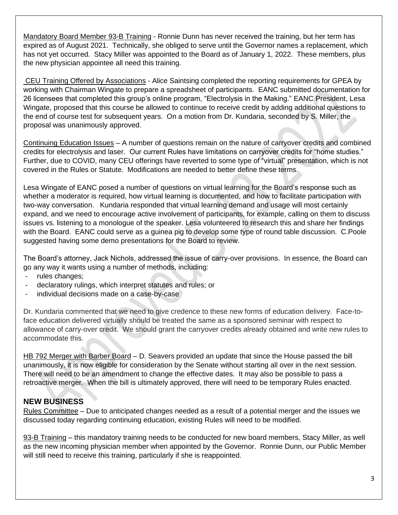Mandatory Board Member 93-B Training - Ronnie Dunn has never received the training, but her term has expired as of August 2021. Technically, she obliged to serve until the Governor names a replacement, which has not yet occurred. Stacy Miller was appointed to the Board as of January 1, 2022. These members, plus the new physician appointee all need this training.

CEU Training Offered by Associations - Alice Saintsing completed the reporting requirements for GPEA by working with Chairman Wingate to prepare a spreadsheet of participants. EANC submitted documentation for 26 licensees that completed this group's online program, "Electrolysis in the Making." EANC President, Lesa Wingate, proposed that this course be allowed to continue to receive credit by adding additional questions to the end of course test for subsequent years. On a motion from Dr. Kundaria, seconded by S. Miller, the proposal was unanimously approved.

Continuing Education Issues – A number of questions remain on the nature of carryover credits and combined credits for electrolysis and laser. Our current Rules have limitations on carryover credits for "home studies." Further, due to COVID, many CEU offerings have reverted to some type of "virtual" presentation, which is not covered in the Rules or Statute. Modifications are needed to better define these terms.

Lesa Wingate of EANC posed a number of questions on virtual learning for the Board's response such as whether a moderator is required, how virtual learning is documented, and how to facilitate participation with two-way conversation. Kundaria responded that virtual learning demand and usage will most certainly expand, and we need to encourage active involvement of participants, for example, calling on them to discuss issues vs. listening to a monologue of the speaker. Lesa volunteered to research this and share her findings with the Board. EANC could serve as a guinea pig to develop some type of round table discussion. C.Poole suggested having some demo presentations for the Board to review.

The Board's attorney, Jack Nichols, addressed the issue of carry-over provisions. In essence, the Board can go any way it wants using a number of methods, including:

- rules changes;
- declaratory rulings, which interpret statutes and rules; or
- individual decisions made on a case-by-case

Dr. Kundaria commented that we need to give credence to these new forms of education delivery. Face-toface education delivered virtually should be treated the same as a sponsored seminar with respect to allowance of carry-over credit. We should grant the carryover credits already obtained and write new rules to accommodate this.

HB 792 Merger with Barber Board – D. Seavers provided an update that since the House passed the bill unanimously, it is now eligible for consideration by the Senate without starting all over in the next session. There will need to be an amendment to change the effective dates. It may also be possible to pass a retroactive merger. When the bill is ultimately approved, there will need to be temporary Rules enacted.

## **NEW BUSINESS**

Rules Committee – Due to anticipated changes needed as a result of a potential merger and the issues we discussed today regarding continuing education, existing Rules will need to be modified.

93-B Training – this mandatory training needs to be conducted for new board members, Stacy Miller, as well as the new incoming physician member when appointed by the Governor. Ronnie Dunn, our Public Member will still need to receive this training, particularly if she is reappointed.